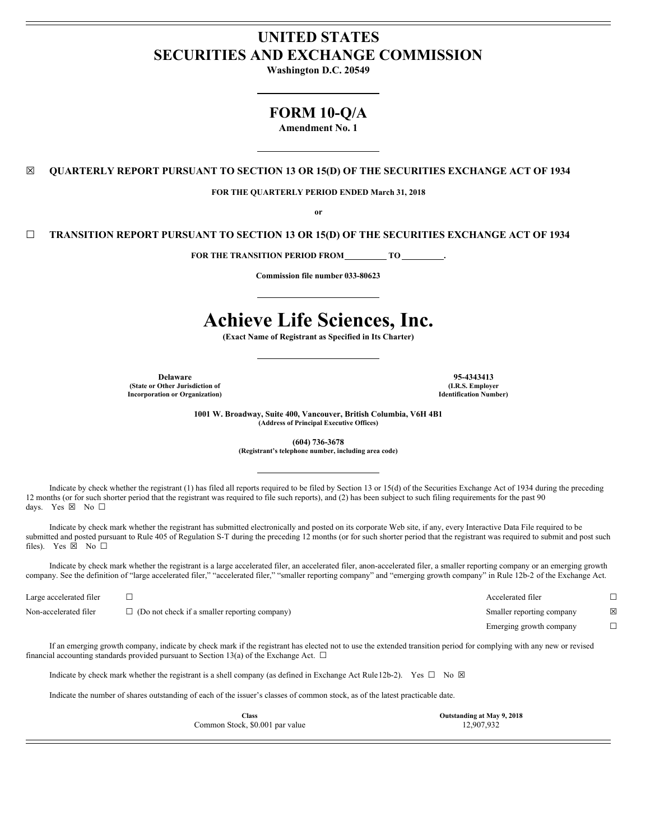# **UNITED STATES SECURITIES AND EXCHANGE COMMISSION**

**Washington D.C. 20549**

# **FORM 10-Q/A**

**Amendment No. 1**

☒ **QUARTERLY REPORT PURSUANT TO SECTION 13 OR 15(D) OF THE SECURITIES EXCHANGE ACT OF 1934**

**FOR THE QUARTERLY PERIOD ENDED March 31, 2018**

**or**

☐ **TRANSITION REPORT PURSUANT TO SECTION 13 OR 15(D) OF THE SECURITIES EXCHANGE ACT OF 1934**

**FOR THE TRANSITION PERIOD FROM TO .**

**Commission file number 033-80623**

# **Achieve Life Sciences, Inc.**

**(Exact Name of Registrant as Specified in Its Charter)**

**Delaware 95-4343413 (State or Other Jurisdiction of Incorporation or Organization)**

**(I.R.S. Employer Identification Number)**

**1001 W. Broadway, Suite 400, Vancouver, British Columbia, V6H 4B1 (Address of Principal Executive Offices)**

**(604) 736-3678**

**(Registrant's telephone number, including area code)**

Indicate by check whether the registrant (1) has filed all reports required to be filed by Section 13 or 15(d) of the Securities Exchange Act of 1934 during the preceding 12 months (or for such shorter period that the registrant was required to file such reports), and (2) has been subject to such filing requirements for the past 90 days. Yes ⊠ No □

Indicate by check mark whether the registrant has submitted electronically and posted on its corporate Web site, if any, every Interactive Data File required to be submitted and posted pursuant to Rule 405 of Regulation S-T during the preceding 12 months (or for such shorter period that the registrant was required to submit and post such files). Yes  $\boxtimes$  No  $\square$ 

Indicate by check mark whether the registrant is a large accelerated filer, an accelerated filer, anon-accelerated filer, a smaller reporting company or an emerging growth company. See the definition of "large accelerated filer," "accelerated filer," "smaller reporting company" and "emerging growth company" in Rule 12b-2 of the Exchange Act.

| Large accelerated filer |                                                      | Accelerated filer         |   |
|-------------------------|------------------------------------------------------|---------------------------|---|
| Non-accelerated filer   | $\Box$ (Do not check if a smaller reporting company) | Smaller reporting company | × |
|                         |                                                      | Emerging growth company   |   |

If an emerging growth company, indicate by check mark if the registrant has elected not to use the extended transition period for complying with any new or revised financial accounting standards provided pursuant to Section 13(a) of the Exchange Act.  $\Box$ 

Indicate by check mark whether the registrant is a shell company (as defined in Exchange Act Rule 12b-2). Yes  $\square$  No  $\boxtimes$ 

Indicate the number of shares outstanding of each of the issuer's classes of common stock, as of the latest practicable date.

**Class Outstanding at May 9, 2018** Common Stock, \$0.001 par value 12,907,932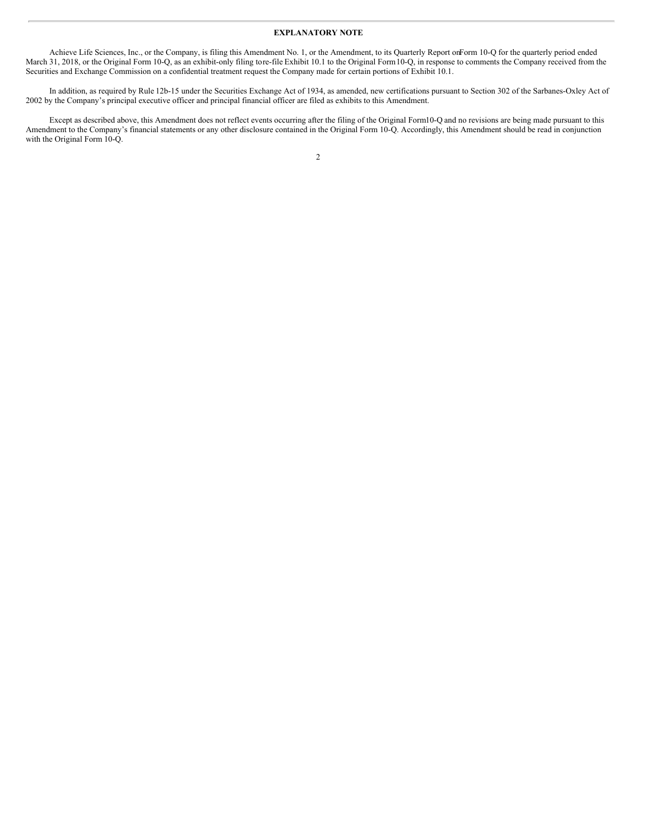## **EXPLANATORY NOTE**

Achieve Life Sciences, Inc., or the Company, is filing this Amendment No. 1, or the Amendment, to its Quarterly Report onForm 10-Q for the quarterly period ended March 31, 2018, or the Original Form 10-Q, as an exhibit-only filing tore-file Exhibit 10.1 to the Original Form10-Q, in response to comments the Company received from the Securities and Exchange Commission on a confidential treatment request the Company made for certain portions of Exhibit 10.1.

In addition, as required by Rule 12b-15 under the Securities Exchange Act of 1934, as amended, new certifications pursuant to Section 302 of the Sarbanes-Oxley Act of 2002 by the Company's principal executive officer and principal financial officer are filed as exhibits to this Amendment.

Except as described above, this Amendment does not reflect events occurring after the filing of the Original Form10-Q and no revisions are being made pursuant to this Amendment to the Company's financial statements or any other disclosure contained in the Original Form 10-Q. Accordingly, this Amendment should be read in conjunction with the Original Form 10-Q.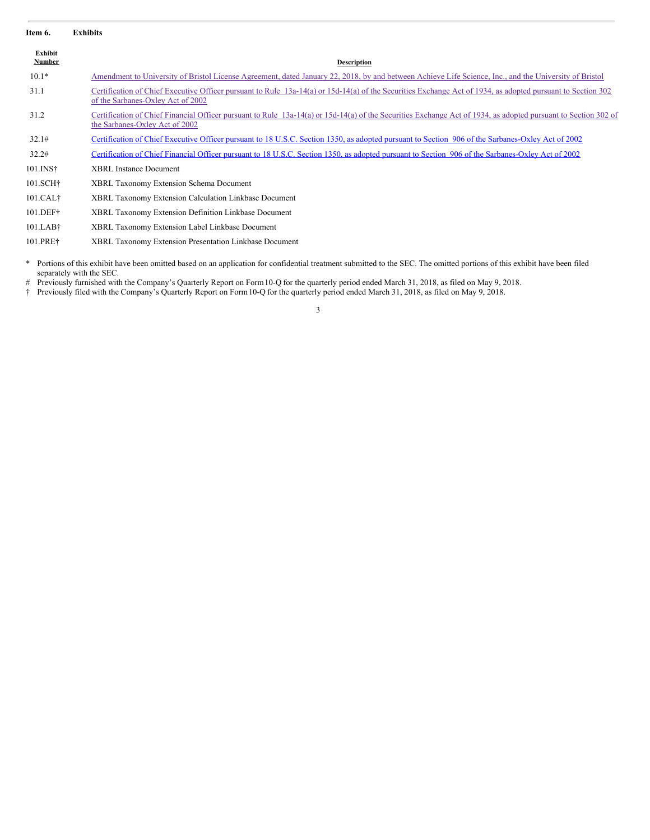| Item 6.              | <b>Exhibits</b>                                                                                                                                                                                  |
|----------------------|--------------------------------------------------------------------------------------------------------------------------------------------------------------------------------------------------|
| Exhibit<br>Number    | Description                                                                                                                                                                                      |
| $10.1*$              | Amendment to University of Bristol License Agreement, dated January 22, 2018, by and between Achieve Life Science, Inc., and the University of Bristol                                           |
| 31.1                 | Certification of Chief Executive Officer pursuant to Rule 13a-14(a) or 15d-14(a) of the Securities Exchange Act of 1934, as adopted pursuant to Section 302<br>of the Sarbanes-Oxley Act of 2002 |
| 31.2                 | Certification of Chief Financial Officer pursuant to Rule 13a-14(a) or 15d-14(a) of the Securities Exchange Act of 1934, as adopted pursuant to Section 302 of<br>the Sarbanes-Oxley Act of 2002 |
| 32.1#                | <u>Certification of Chief Executive Officer pursuant to 18 U.S.C. Section 1350, as adopted pursuant to Section 906 of the Sarbanes-Oxley Act of 2002</u>                                         |
| 32.2#                | Certification of Chief Financial Officer pursuant to 18 U.S.C. Section 1350, as adopted pursuant to Section 906 of the Sarbanes-Oxley Act of 2002                                                |
| 101.INS†             | <b>XBRL Instance Document</b>                                                                                                                                                                    |
| 101.SCH <sup>+</sup> | XBRL Taxonomy Extension Schema Document                                                                                                                                                          |
| 101.CAL <sup>†</sup> | <b>XBRL Taxonomy Extension Calculation Linkbase Document</b>                                                                                                                                     |
| 101.DEF†             | XBRL Taxonomy Extension Definition Linkbase Document                                                                                                                                             |
| $101$ .LAB $\dagger$ | XBRL Taxonomy Extension Label Linkbase Document                                                                                                                                                  |
| 101.PRE†             | XBRL Taxonomy Extension Presentation Linkbase Document                                                                                                                                           |
|                      |                                                                                                                                                                                                  |

\* Portions of this exhibit have been omitted based on an application for confidential treatment submitted to the SEC. The omitted portions of this exhibit have been filed separately with the SEC.

# Previously furnished with the Company's Quarterly Report on Form 10-Q for the quarterly period ended March 31, 2018, as filed on May 9, 2018.

† Previously filed with the Company's Quarterly Report on Form10-Q for the quarterly period ended March 31, 2018, as filed on May 9, 2018.

3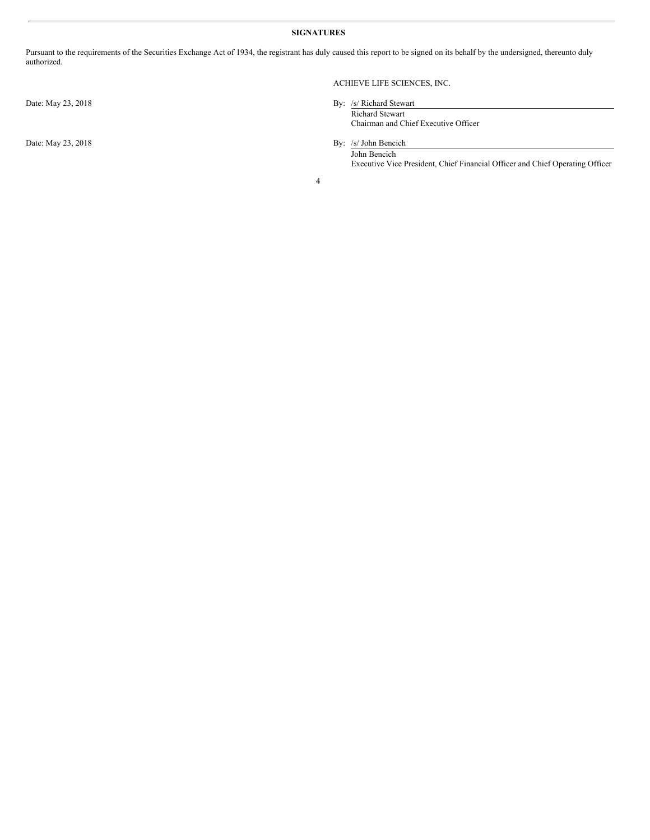## **SIGNATURES**

Pursuant to the requirements of the Securities Exchange Act of 1934, the registrant has duly caused this report to be signed on its behalf by the undersigned, thereunto duly authorized.

Date: May 23, 2018

# ACHIEVE LIFE SCIENCES, INC.

| By: /s/ Richard Stewart              |  |
|--------------------------------------|--|
| <b>Richard Stewart</b>               |  |
| Chairman and Chief Executive Officer |  |
|                                      |  |

Date: May 23, 2018 By: /s/ John Bencich John Bencich Executive Vice President, Chief Financial Officer and Chief Operating Officer

4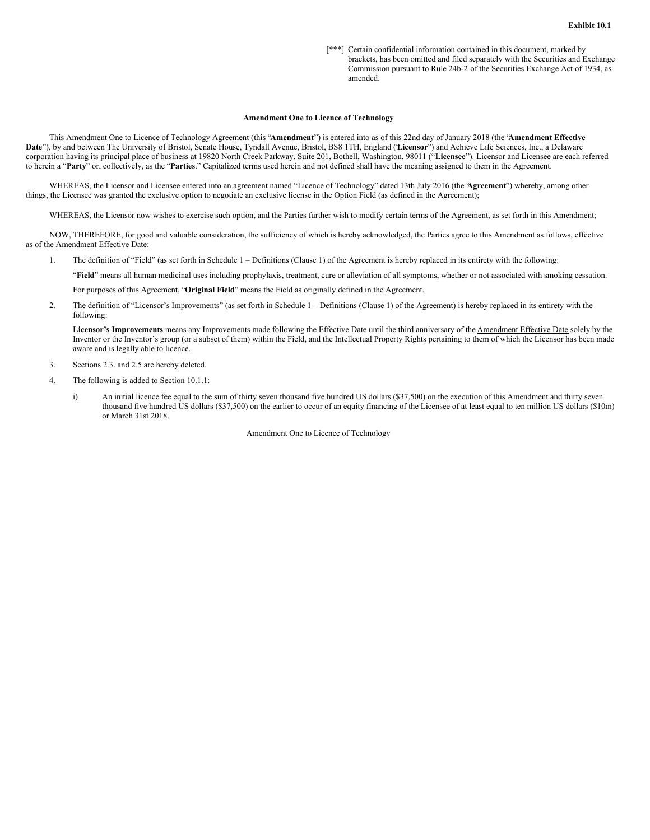[\*\*\*] Certain confidential information contained in this document, marked by brackets, has been omitted and filed separately with the Securities and Exchange Commission pursuant to Rule 24b-2 of the Securities Exchange Act of 1934, as amended.

#### **Amendment One to Licence of Technology**

This Amendment One to Licence of Technology Agreement (this "**Amendment**") is entered into as of this 22nd day of January 2018 (the "**Amendment Effective** Date"), by and between The University of Bristol, Senate House, Tyndall Avenue, Bristol, BS8 1TH, England (Licensor") and Achieve Life Sciences, Inc., a Delaware corporation having its principal place of business at 19820 North Creek Parkway, Suite 201, Bothell, Washington, 98011 ("**Licensee**"). Licensor and Licensee are each referred to herein a "**Party**" or, collectively, as the "**Parties**." Capitalized terms used herein and not defined shall have the meaning assigned to them in the Agreement.

WHEREAS, the Licensor and Licensee entered into an agreement named "Licence of Technology" dated 13th July 2016 (the "**Agreement**") whereby, among other things, the Licensee was granted the exclusive option to negotiate an exclusive license in the Option Field (as defined in the Agreement);

WHEREAS, the Licensor now wishes to exercise such option, and the Parties further wish to modify certain terms of the Agreement, as set forth in this Amendment;

NOW, THEREFORE, for good and valuable consideration, the sufficiency of which is hereby acknowledged, the Parties agree to this Amendment as follows, effective as of the Amendment Effective Date:

1. The definition of "Field" (as set forth in Schedule 1 – Definitions (Clause 1) of the Agreement is hereby replaced in its entirety with the following:

"**Field**" means all human medicinal uses including prophylaxis, treatment, cure or alleviation of all symptoms, whether or not associated with smoking cessation.

For purposes of this Agreement, "**Original Field**" means the Field as originally defined in the Agreement.

2. The definition of "Licensor's Improvements" (as set forth in Schedule 1 – Definitions (Clause 1) of the Agreement) is hereby replaced in its entirety with the following:

**Licensor's Improvements** means any Improvements made following the Effective Date until the third anniversary of the Amendment Effective Date solely by the Inventor or the Inventor's group (or a subset of them) within the Field, and the Intellectual Property Rights pertaining to them of which the Licensor has been made aware and is legally able to licence.

- 3. Sections 2.3. and 2.5 are hereby deleted.
- 4. The following is added to Section 10.1.1:
	- i) An initial licence fee equal to the sum of thirty seven thousand five hundred US dollars (\$37,500) on the execution of this Amendment and thirty seven thousand five hundred US dollars (\$37,500) on the earlier to occur of an equity financing of the Licensee of at least equal to ten million US dollars (\$10m) or March 31st 2018.

Amendment One to Licence of Technology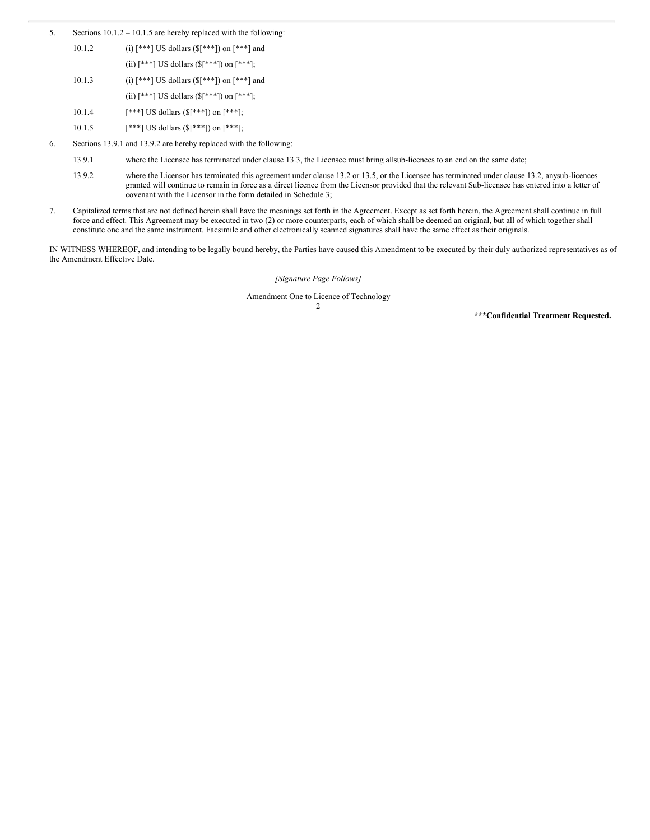- <span id="page-5-0"></span>5. Sections 10.1.2 – 10.1.5 are hereby replaced with the following:
	- 10.1.2 (i)  $[***]$  US dollars  $(\frac{1}{2}[***])$  on  $[***]$  and (ii)  $[***]$  US dollars ( ${\lceil}[***]$ ) on  $[***]$ ;
	- 10.1.3 (i)  $[***]$  US dollars  $(\frac{5}{1}***]$  on  $[***]$  and
		- (ii)  $[***]$  US dollars  $(\{\$ [^{\*\*\*}]\}) on  $[***]$ ;
	- 10.1.4  $[***]$  US dollars (\$[\*\*\*]) on [\*\*\*];
	- 10.1.5  $[***]$  US dollars (\$[\*\*\*]) on [\*\*\*];
- 6. Sections 13.9.1 and 13.9.2 are hereby replaced with the following:
	- 13.9.1 where the Licensee has terminated under clause 13.3, the Licensee must bring allsub-licences to an end on the same date;
	- 13.9.2 where the Licensor has terminated this agreement under clause 13.2 or 13.5, or the Licensee has terminated under clause 13.2, anysub-licences granted will continue to remain in force as a direct licence from the Licensor provided that the relevant Sub-licensee has entered into a letter of covenant with the Licensor in the form detailed in Schedule 3;
- 7. Capitalized terms that are not defined herein shall have the meanings set forth in the Agreement. Except as set forth herein, the Agreement shall continue in full force and effect. This Agreement may be executed in two (2) or more counterparts, each of which shall be deemed an original, but all of which together shall constitute one and the same instrument. Facsimile and other electronically scanned signatures shall have the same effect as their originals.

IN WITNESS WHEREOF, and intending to be legally bound hereby, the Parties have caused this Amendment to be executed by their duly authorized representatives as of the Amendment Effective Date.

*[Signature Page Follows]*

Amendment One to Licence of Technology

2

**\*\*\*Confidential Treatment Requested.**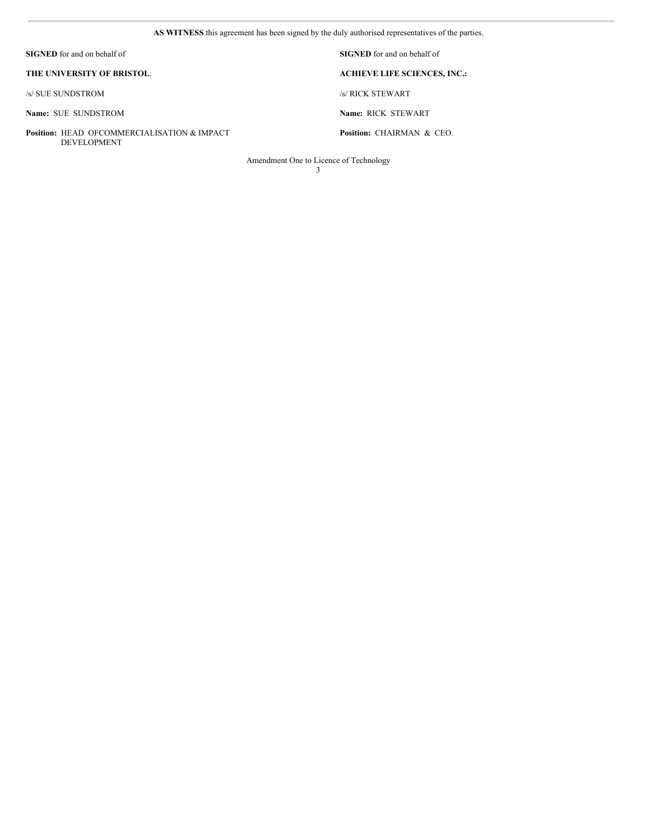**AS WITNESS** this agreement has been signed by the duly authorised representatives of the parties.

| <b>SIGNED</b> for and on behalf of                                           | <b>SIGNED</b> for and on behalf of   |
|------------------------------------------------------------------------------|--------------------------------------|
| THE UNIVERSITY OF BRISTOL:                                                   | <b>ACHIEVE LIFE SCIENCES, INC.:</b>  |
| /s/ SUE SUNDSTROM                                                            | /s/ RICK STEWART                     |
| Name: SUE SUNDSTROM                                                          | Name: RICK STEWART                   |
| <b>Position: HEAD OFCOMMERCIALISATION &amp; IMPACT</b><br><b>DEVELOPMENT</b> | <b>Position: CHAIRMAN &amp; CEO.</b> |

Amendment One to Licence of Technology

3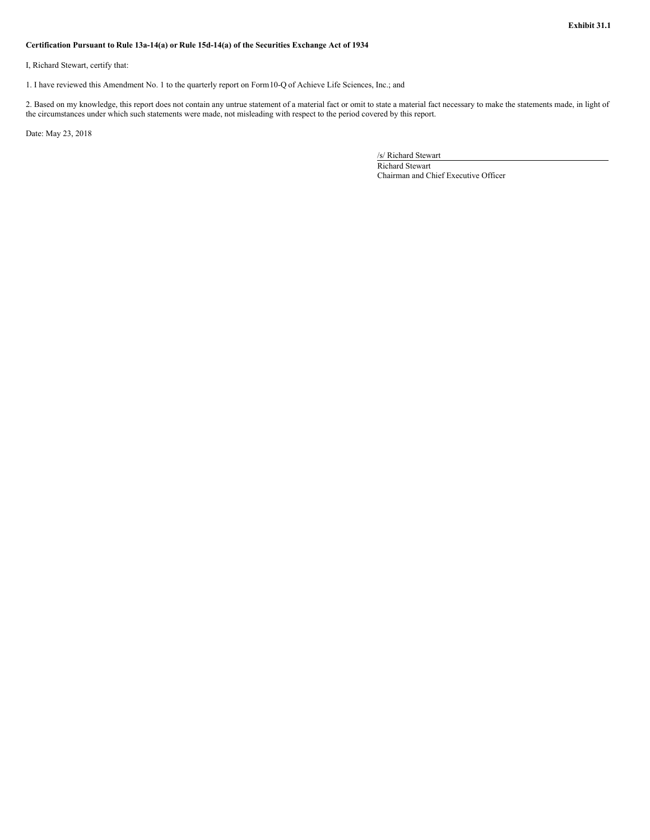### <span id="page-7-0"></span>**Certification Pursuant to Rule 13a-14(a) or Rule 15d-14(a) of the Securities Exchange Act of 1934**

I, Richard Stewart, certify that:

1. I have reviewed this Amendment No. 1 to the quarterly report on Form10-Q of Achieve Life Sciences, Inc.; and

2. Based on my knowledge, this report does not contain any untrue statement of a material fact or omit to state a material fact necessary to make the statements made, in light of the circumstances under which such statements were made, not misleading with respect to the period covered by this report.

Date: May 23, 2018

/s/ Richard Stewart

Richard Stewart Chairman and Chief Executive Officer